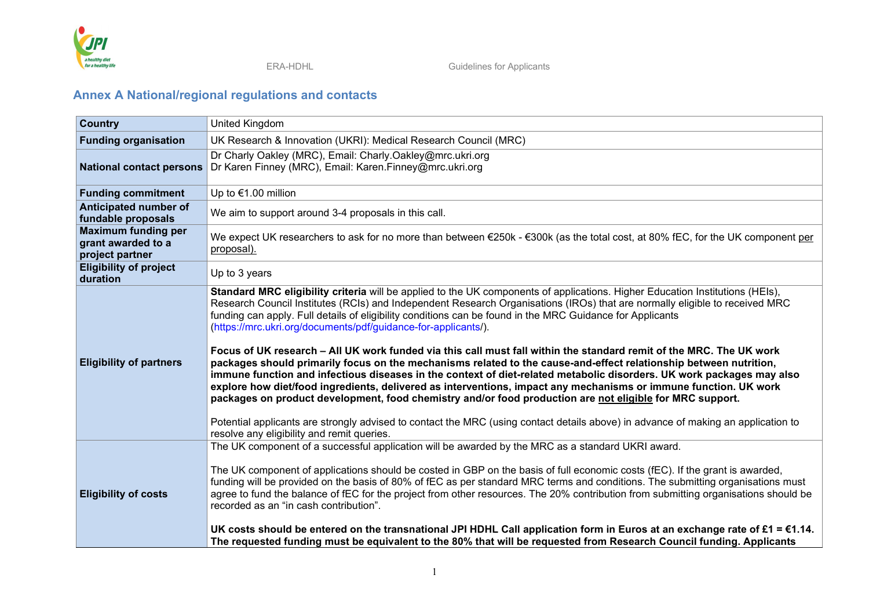

## **Annex A National/regional regulations and contacts**

| <b>Country</b>                                                      | <b>United Kingdom</b>                                                                                                                                                                                                                                                                                                                                                                                                                                                                                                                                                                                                                                                                                                                                                                                                                                                                                                                                                                                                                                                                                                                                                                                                               |
|---------------------------------------------------------------------|-------------------------------------------------------------------------------------------------------------------------------------------------------------------------------------------------------------------------------------------------------------------------------------------------------------------------------------------------------------------------------------------------------------------------------------------------------------------------------------------------------------------------------------------------------------------------------------------------------------------------------------------------------------------------------------------------------------------------------------------------------------------------------------------------------------------------------------------------------------------------------------------------------------------------------------------------------------------------------------------------------------------------------------------------------------------------------------------------------------------------------------------------------------------------------------------------------------------------------------|
| <b>Funding organisation</b>                                         | UK Research & Innovation (UKRI): Medical Research Council (MRC)                                                                                                                                                                                                                                                                                                                                                                                                                                                                                                                                                                                                                                                                                                                                                                                                                                                                                                                                                                                                                                                                                                                                                                     |
| <b>National contact persons</b>                                     | Dr Charly Oakley (MRC), Email: Charly.Oakley@mrc.ukri.org<br>Dr Karen Finney (MRC), Email: Karen.Finney@mrc.ukri.org                                                                                                                                                                                                                                                                                                                                                                                                                                                                                                                                                                                                                                                                                                                                                                                                                                                                                                                                                                                                                                                                                                                |
| <b>Funding commitment</b>                                           | Up to €1.00 million                                                                                                                                                                                                                                                                                                                                                                                                                                                                                                                                                                                                                                                                                                                                                                                                                                                                                                                                                                                                                                                                                                                                                                                                                 |
| Anticipated number of<br>fundable proposals                         | We aim to support around 3-4 proposals in this call.                                                                                                                                                                                                                                                                                                                                                                                                                                                                                                                                                                                                                                                                                                                                                                                                                                                                                                                                                                                                                                                                                                                                                                                |
| <b>Maximum funding per</b><br>grant awarded to a<br>project partner | We expect UK researchers to ask for no more than between €250k - €300k (as the total cost, at 80% fEC, for the UK component per<br>proposal).                                                                                                                                                                                                                                                                                                                                                                                                                                                                                                                                                                                                                                                                                                                                                                                                                                                                                                                                                                                                                                                                                       |
| <b>Eligibility of project</b><br>duration                           | Up to 3 years                                                                                                                                                                                                                                                                                                                                                                                                                                                                                                                                                                                                                                                                                                                                                                                                                                                                                                                                                                                                                                                                                                                                                                                                                       |
| <b>Eligibility of partners</b>                                      | Standard MRC eligibility criteria will be applied to the UK components of applications. Higher Education Institutions (HEIs),<br>Research Council Institutes (RCIs) and Independent Research Organisations (IROs) that are normally eligible to received MRC<br>funding can apply. Full details of eligibility conditions can be found in the MRC Guidance for Applicants<br>(https://mrc.ukri.org/documents/pdf/guidance-for-applicants/).<br>Focus of UK research – All UK work funded via this call must fall within the standard remit of the MRC. The UK work<br>packages should primarily focus on the mechanisms related to the cause-and-effect relationship between nutrition,<br>immune function and infectious diseases in the context of diet-related metabolic disorders. UK work packages may also<br>explore how diet/food ingredients, delivered as interventions, impact any mechanisms or immune function. UK work<br>packages on product development, food chemistry and/or food production are not eligible for MRC support.<br>Potential applicants are strongly advised to contact the MRC (using contact details above) in advance of making an application to<br>resolve any eligibility and remit queries. |
| <b>Eligibility of costs</b>                                         | The UK component of a successful application will be awarded by the MRC as a standard UKRI award.<br>The UK component of applications should be costed in GBP on the basis of full economic costs (fEC). If the grant is awarded,<br>funding will be provided on the basis of 80% of fEC as per standard MRC terms and conditions. The submitting organisations must<br>agree to fund the balance of fEC for the project from other resources. The 20% contribution from submitting organisations should be<br>recorded as an "in cash contribution".<br>UK costs should be entered on the transnational JPI HDHL Call application form in Euros at an exchange rate of £1 = $\epsilon$ 1.14.<br>The requested funding must be equivalent to the 80% that will be requested from Research Council funding. Applicants                                                                                                                                                                                                                                                                                                                                                                                                               |